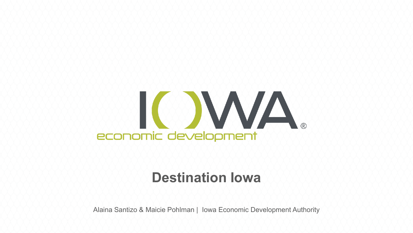

### **Destination Iowa**

Alaina Santizo & Maicie Pohlman | Iowa Economic Development Authority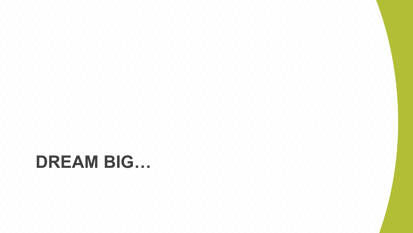# **DREAM BIG…**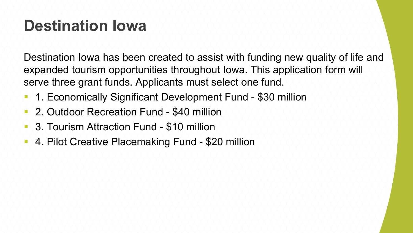### **Destination Iowa**

Destination Iowa has been created to assist with funding new quality of life and expanded tourism opportunities throughout Iowa. This application form will serve three grant funds. Applicants must select one fund.

- 1. Economically Significant Development Fund \$30 million
- 2. Outdoor Recreation Fund \$40 million
- 3. Tourism Attraction Fund \$10 million
- 4. Pilot Creative Placemaking Fund \$20 million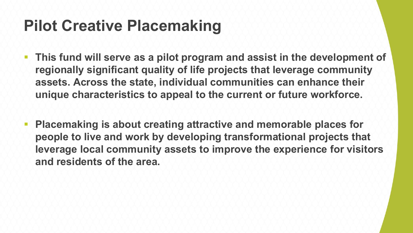### **Pilot Creative Placemaking**

- **This fund will serve as a pilot program and assist in the development of regionally significant quality of life projects that leverage community assets. Across the state, individual communities can enhance their unique characteristics to appeal to the current or future workforce.**
- **Placemaking is about creating attractive and memorable places for people to live and work by developing transformational projects that leverage local community assets to improve the experience for visitors and residents of the area.**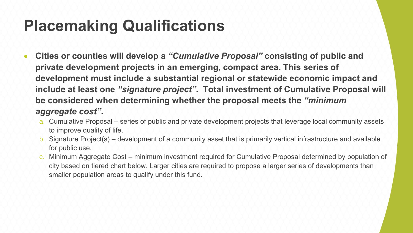### **Placemaking Qualifications**

- **Cities or counties will develop a** *"Cumulative Proposal"* **consisting of public and private development projects in an emerging, compact area. This series of development must include a substantial regional or statewide economic impact and include at least one** *"signature project".* **Total investment of Cumulative Proposal will be considered when determining whether the proposal meets the** *"minimum aggregate cost".* 
	- a. Cumulative Proposal series of public and private development projects that leverage local community assets to improve quality of life.
	- b. Signature Project(s) development of a community asset that is primarily vertical infrastructure and available for public use.
	- c. Minimum Aggregate Cost minimum investment required for Cumulative Proposal determined by population of city based on tiered chart below. Larger cities are required to propose a larger series of developments than smaller population areas to qualify under this fund.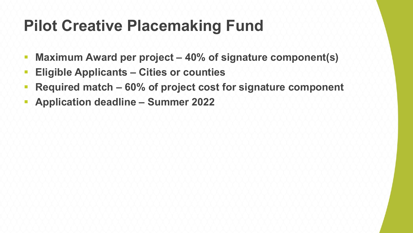### **Pilot Creative Placemaking Fund**

- **Maximum Award per project – 40% of signature component(s)**
- **Eligible Applicants – Cities or counties**
- **Required match – 60% of project cost for signature component**
- **Application deadline – Summer 2022**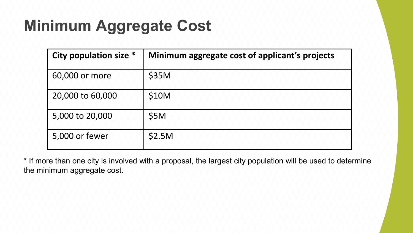## **Minimum Aggregate Cost**

| <b>City population size *</b> | Minimum aggregate cost of applicant's projects |
|-------------------------------|------------------------------------------------|
| 60,000 or more                | \$35M                                          |
| 20,000 to 60,000              | \$10M                                          |
| 5,000 to 20,000               | \$5M                                           |
| 5,000 or fewer                | \$2.5M                                         |

\* If more than one city is involved with a proposal, the largest city population will be used to determine the minimum aggregate cost.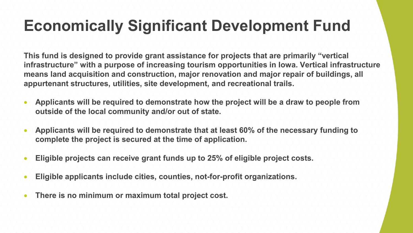### **Economically Significant Development Fund**

**This fund is designed to provide grant assistance for projects that are primarily "vertical infrastructure" with a purpose of increasing tourism opportunities in Iowa. Vertical infrastructure means land acquisition and construction, major renovation and major repair of buildings, all appurtenant structures, utilities, site development, and recreational trails.** 

- **Applicants will be required to demonstrate how the project will be a draw to people from outside of the local community and/or out of state.**
- **Applicants will be required to demonstrate that at least 60% of the necessary funding to complete the project is secured at the time of application.**
- **Eligible projects can receive grant funds up to 25% of eligible project costs.**
- **Eligible applicants include cities, counties, not-for-profit organizations.**
- **There is no minimum or maximum total project cost.**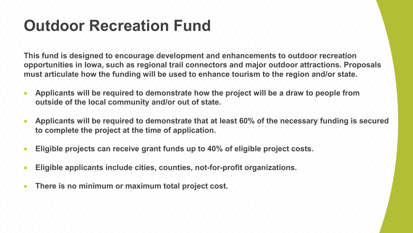### **Outdoor Recreation Fund**

**This fund is designed to encourage development and enhancements to outdoor recreation opportunities in Iowa, such as regional trail connectors and major outdoor attractions. Proposals must articulate how the funding will be used to enhance tourism to the region and/or state.**

- **Applicants will be required to demonstrate how the project will be a draw to people from outside of the local community and/or out of state.**
- **Applicants will be required to demonstrate that at least 60% of the necessary funding is secured to complete the project at the time of application.**
- **Eligible projects can receive grant funds up to 40% of eligible project costs.**
- **Eligible applicants include cities, counties, not-for-profit organizations.**
- **There is no minimum or maximum total project cost.**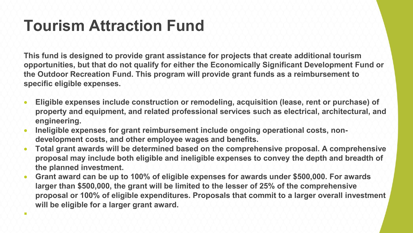### **Tourism Attraction Fund**

 $\mathcal{L}$ 

**This fund is designed to provide grant assistance for projects that create additional tourism opportunities, but that do not qualify for either the Economically Significant Development Fund or the Outdoor Recreation Fund. This program will provide grant funds as a reimbursement to specific eligible expenses.** 

- **Eligible expenses include construction or remodeling, acquisition (lease, rent or purchase) of property and equipment, and related professional services such as electrical, architectural, and engineering.**
- **Ineligible expenses for grant reimbursement include ongoing operational costs, nondevelopment costs, and other employee wages and benefits.**
- **Total grant awards will be determined based on the comprehensive proposal. A comprehensive proposal may include both eligible and ineligible expenses to convey the depth and breadth of the planned investment.**
- **Grant award can be up to 100% of eligible expenses for awards under \$500,000. For awards larger than \$500,000, the grant will be limited to the lesser of 25% of the comprehensive proposal or 100% of eligible expenditures. Proposals that commit to a larger overall investment will be eligible for a larger grant award.**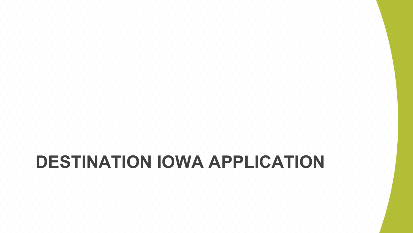# **DESTINATION IOWA APPLICATION**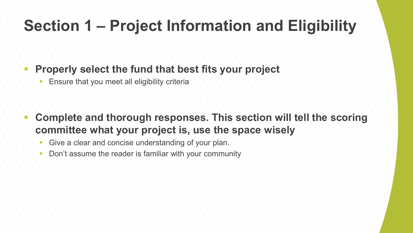### **Section 1 – Project Information and Eligibility**

#### **Properly select the fund that best fits your project**

**Ensure that you meet all eligibility criteria** 

- **Complete and thorough responses. This section will tell the scoring committee what your project is, use the space wisely**
	- **Give a clear and concise understanding of your plan.**
	- Don't assume the reader is familiar with your community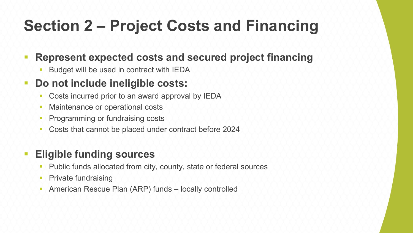## **Section 2 – Project Costs and Financing**

#### **Represent expected costs and secured project financing**

Budget will be used in contract with IEDA

#### **Do not include ineligible costs:**

- Costs incurred prior to an award approval by IEDA
- Maintenance or operational costs
- Programming or fundraising costs
- Costs that cannot be placed under contract before 2024

#### **Eligible funding sources**

- Public funds allocated from city, county, state or federal sources
- **Private fundraising**
- **American Rescue Plan (ARP) funds locally controlled**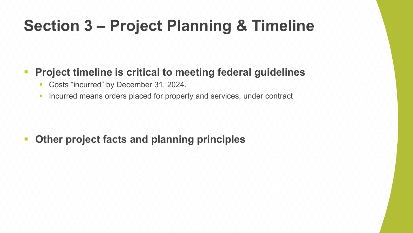### **Section 3 – Project Planning & Timeline**

#### **Project timeline is critical to meeting federal guidelines**

- **Costs "incurred" by December 31, 2024.**
- **Incurred means orders placed for property and services, under contract**

#### **Other project facts and planning principles**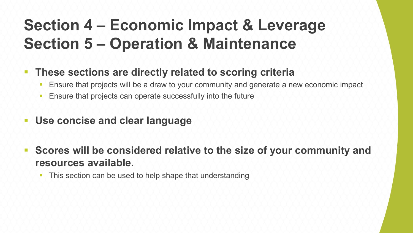### **Section 4 – Economic Impact & Leverage Section 5 – Operation & Maintenance**

- **These sections are directly related to scoring criteria** 
	- Ensure that projects will be a draw to your community and generate a new economic impact
	- **Ensure that projects can operate successfully into the future**
- **Use concise and clear language**
- **Scores will be considered relative to the size of your community and resources available.** 
	- This section can be used to help shape that understanding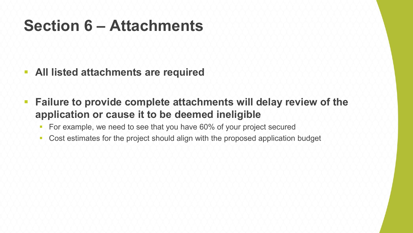### **Section 6 – Attachments**

- **All listed attachments are required**
- **Failure to provide complete attachments will delay review of the application or cause it to be deemed ineligible**
	- **For example, we need to see that you have 60% of your project secured**
	- Cost estimates for the project should align with the proposed application budget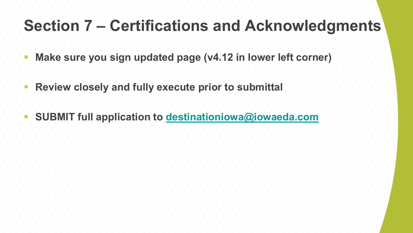### **Section 7 – Certifications and Acknowledgments**

- **Make sure you sign updated page (v4.12 in lower left corner)**
- **Review closely and fully execute prior to submittal**
- **SUBMIT full application to [destinationiowa@iowaeda.com](mailto:destinationiowa@iowaeda.com)**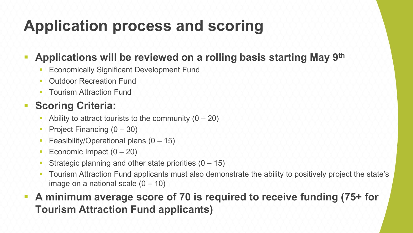### **Application process and scoring**

#### **Applications will be reviewed on a rolling basis starting May 9th**

- **Economically Significant Development Fund**
- Outdoor Recreation Fund
- Tourism Attraction Fund

#### **Scoring Criteria:**

- Ability to attract tourists to the community  $(0 20)$
- Project Financing  $(0 30)$
- Feasibility/Operational plans  $(0 15)$
- Economic Impact  $(0 20)$
- Strategic planning and other state priorities  $(0 15)$
- Tourism Attraction Fund applicants must also demonstrate the ability to positively project the state's image on a national scale  $(0 - 10)$

#### **A minimum average score of 70 is required to receive funding (75+ for Tourism Attraction Fund applicants)**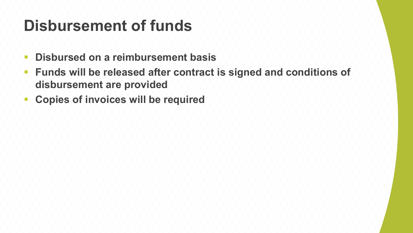### **Disbursement of funds**

- **Disbursed on a reimbursement basis**
- **Funds will be released after contract is signed and conditions of disbursement are provided**
- **EXCOPIES OF INVOICES WIll be required**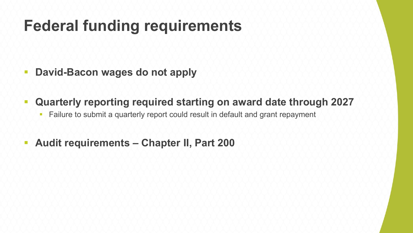### **Federal funding requirements**

- **David-Bacon wages do not apply**
- **Quarterly reporting required starting on award date through 2027**
	- **Failure to submit a quarterly report could result in default and grant repayment**
- **Audit requirements – Chapter II, Part 200**